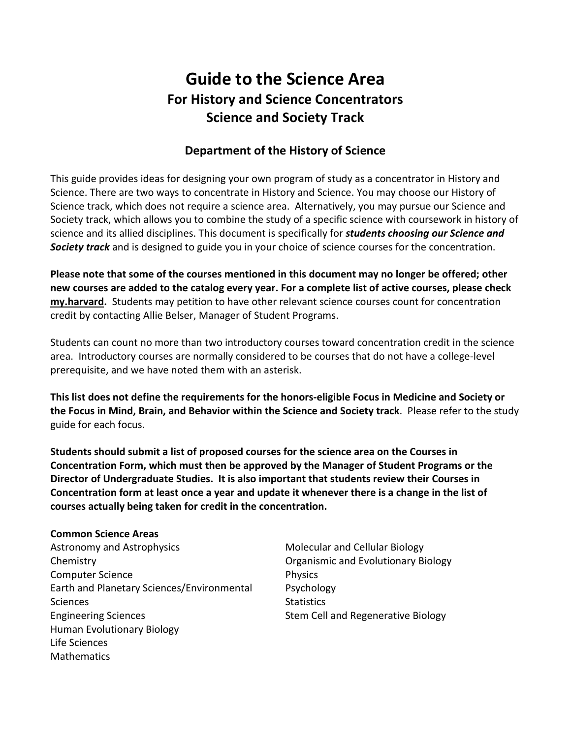# **Guide to the Science Area For History and Science Concentrators Science and Society Track**

# **Department of the History of Science**

This guide provides ideas for designing your own program of study as a concentrator in History and Science. There are two ways to concentrate in History and Science. You may choose our History of Science track, which does not require a science area. Alternatively, you may pursue our Science and Society track, which allows you to combine the study of a specific science with coursework in history of science and its allied disciplines. This document is specifically for *students choosing our Science and Society track* and is designed to guide you in your choice of science courses for the concentration.

**Please note that some of the courses mentioned in this document may no longer be offered; other new courses are added to the catalog every year. For a complete list of active courses, please check [my.harvard.](https://my.harvard.edu/)** Students may petition to have other relevant science courses count for concentration credit by contacting Allie Belser, Manager of Student Programs.

Students can count no more than two introductory courses toward concentration credit in the science area. Introductory courses are normally considered to be courses that do not have a college-level prerequisite, and we have noted them with an asterisk.

**This list does not define the requirements for the honors-eligible Focus in Medicine and Society or the Focus in Mind, Brain, and Behavior within the Science and Society track**. Please refer to the study guide for each focus.

**Students should submit a list of proposed courses for the science area on the Courses in Concentration Form, which must then be approved by the Manager of Student Programs or the Director of Undergraduate Studies. It is also important that students review their Courses in Concentration form at least once a year and update it whenever there is a change in the list of courses actually being taken for credit in the concentration.** 

### **Common Science Areas**

Astronomy and Astrophysics Chemistry Computer Science Earth and Planetary Sciences/Environmental Sciences Engineering Sciences Human Evolutionary Biology Life Sciences **Mathematics** 

Molecular and Cellular Biology Organismic and Evolutionary Biology Physics Psychology **Statistics** Stem Cell and Regenerative Biology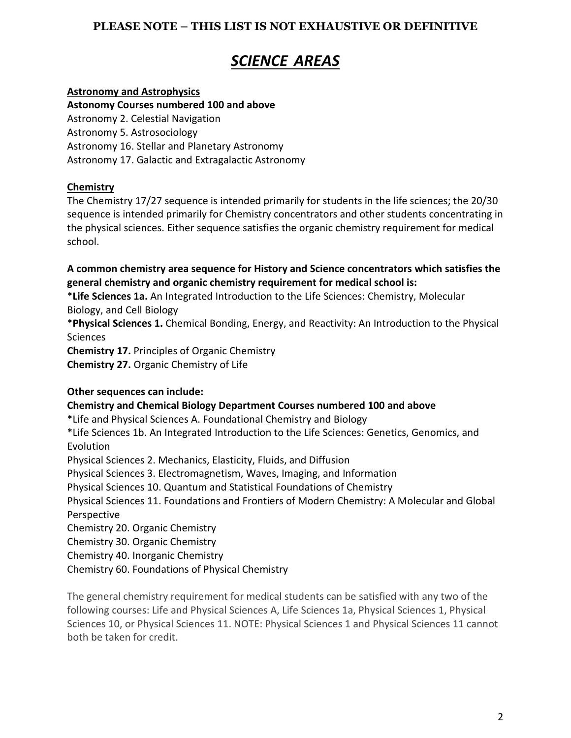# *SCIENCE AREAS*

## **Astronomy and Astrophysics**

**Astonomy Courses numbered 100 and above** Astronomy 2. Celestial Navigation Astronomy 5. Astrosociology Astronomy 16. Stellar and Planetary Astronomy Astronomy 17. Galactic and Extragalactic Astronomy

# **Chemistry**

The Chemistry 17/27 sequence is intended primarily for students in the life sciences; the 20/30 sequence is intended primarily for Chemistry concentrators and other students concentrating in the physical sciences. Either sequence satisfies the organic chemistry requirement for medical school.

**A common chemistry area sequence for History and Science concentrators which satisfies the general chemistry and organic chemistry requirement for medical school is:**

\***Life Sciences 1a.** An Integrated Introduction to the Life Sciences: Chemistry, Molecular Biology, and Cell Biology

\***Physical Sciences 1.** Chemical Bonding, Energy, and Reactivity: An Introduction to the Physical Sciences

**Chemistry 17.** Principles of Organic Chemistry

**Chemistry 27.** Organic Chemistry of Life

# **Other sequences can include:**

# **Chemistry and Chemical Biology Department Courses numbered 100 and above**

\*Life and Physical Sciences A. Foundational Chemistry and Biology

\*Life Sciences 1b. An Integrated Introduction to the Life Sciences: Genetics, Genomics, and Evolution

Physical Sciences 2. Mechanics, Elasticity, Fluids, and Diffusion

Physical Sciences 3. Electromagnetism, Waves, Imaging, and Information

Physical Sciences 10. Quantum and Statistical Foundations of Chemistry

Physical Sciences 11. Foundations and Frontiers of Modern Chemistry: A Molecular and Global Perspective

Chemistry 20. Organic Chemistry

Chemistry 30. Organic Chemistry

Chemistry 40. Inorganic Chemistry

Chemistry 60. Foundations of Physical Chemistry

The general chemistry requirement for medical students can be satisfied with any two of the following courses: Life and Physical Sciences A, Life Sciences 1a, Physical Sciences 1, Physical Sciences 10, or Physical Sciences 11. NOTE: Physical Sciences 1 and Physical Sciences 11 cannot both be taken for credit.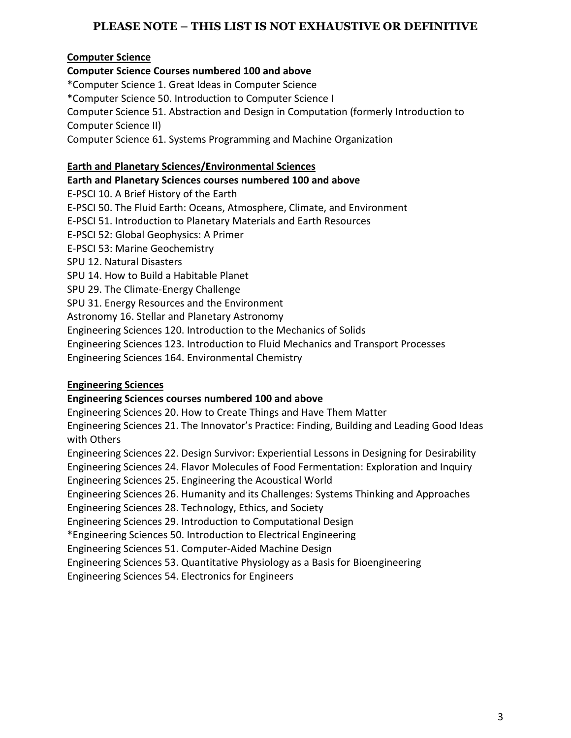## **Computer Science**

**Computer Science Courses numbered 100 and above**

\*Computer Science 1. Great Ideas in Computer Science \*Computer Science 50. Introduction to Computer Science I Computer Science 51. Abstraction and Design in Computation (formerly Introduction to Computer Science II) Computer Science 61. Systems Programming and Machine Organization

## **Earth and Planetary Sciences/Environmental Sciences**

## **Earth and Planetary Sciences courses numbered 100 and above**

E-PSCI 10. A Brief History of the Earth E-PSCI 50. The Fluid Earth: Oceans, Atmosphere, Climate, and Environment E-PSCI 51. Introduction to Planetary Materials and Earth Resources E-PSCI 52: Global Geophysics: A Primer E-PSCI 53: Marine Geochemistry SPU 12. Natural Disasters SPU 14. How to Build a Habitable Planet SPU 29. The Climate-Energy Challenge SPU 31. Energy Resources and the Environment Astronomy 16. Stellar and Planetary Astronomy Engineering Sciences 120. Introduction to the Mechanics of Solids

Engineering Sciences 123. Introduction to Fluid Mechanics and Transport Processes

Engineering Sciences 164. Environmental Chemistry

# **Engineering Sciences**

## **Engineering Sciences courses numbered 100 and above**

Engineering Sciences 20. How to Create Things and Have Them Matter

Engineering Sciences 21. The Innovator's Practice: Finding, Building and Leading Good Ideas with Others

Engineering Sciences 22. Design Survivor: Experiential Lessons in Designing for Desirability

Engineering Sciences 24. Flavor Molecules of Food Fermentation: Exploration and Inquiry

Engineering Sciences 25. Engineering the Acoustical World

Engineering Sciences 26. Humanity and its Challenges: Systems Thinking and Approaches

Engineering Sciences 28. Technology, Ethics, and Society

Engineering Sciences 29. Introduction to Computational Design

\*Engineering Sciences 50. Introduction to Electrical Engineering

Engineering Sciences 51. Computer-Aided Machine Design

Engineering Sciences 53. Quantitative Physiology as a Basis for Bioengineering

Engineering Sciences 54. Electronics for Engineers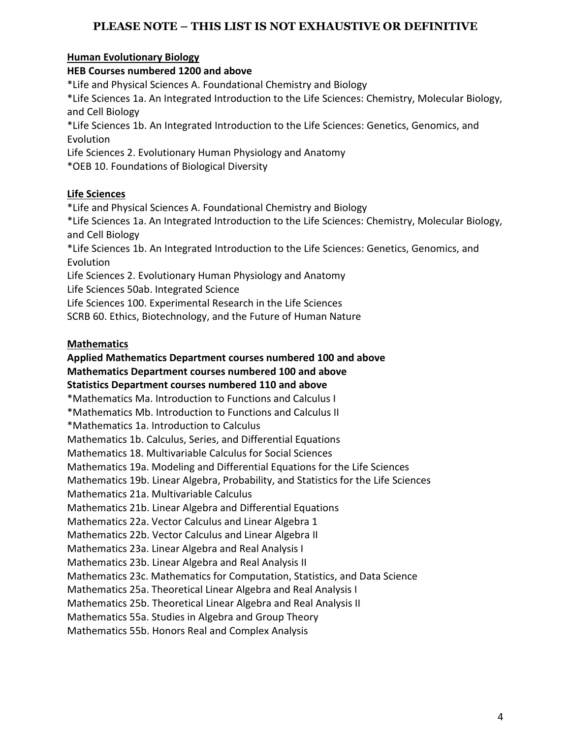# **Human Evolutionary Biology**

# **HEB Courses numbered 1200 and above**

\*Life and Physical Sciences A. Foundational Chemistry and Biology

\*Life Sciences 1a. An Integrated Introduction to the Life Sciences: Chemistry, Molecular Biology, and Cell Biology

\*Life Sciences 1b. An Integrated Introduction to the Life Sciences: Genetics, Genomics, and Evolution

Life Sciences 2. Evolutionary Human Physiology and Anatomy

\*OEB 10. Foundations of Biological Diversity

# **Life Sciences**

\*Life and Physical Sciences A. Foundational Chemistry and Biology

\*Life Sciences 1a. An Integrated Introduction to the Life Sciences: Chemistry, Molecular Biology, and Cell Biology

\*Life Sciences 1b. An Integrated Introduction to the Life Sciences: Genetics, Genomics, and Evolution

Life Sciences 2. Evolutionary Human Physiology and Anatomy Life Sciences 50ab. Integrated Science

Life Sciences 100. Experimental Research in the Life Sciences

SCRB 60. Ethics, Biotechnology, and the Future of Human Nature

# **Mathematics**

# **Applied Mathematics Department courses numbered 100 and above Mathematics Department courses numbered 100 and above**

# **Statistics Department courses numbered 110 and above**

\*Mathematics Ma. Introduction to Functions and Calculus I

\*Mathematics Mb. Introduction to Functions and Calculus II

\*Mathematics 1a. Introduction to Calculus

Mathematics 1b. Calculus, Series, and Differential Equations

Mathematics 18. Multivariable Calculus for Social Sciences

Mathematics 19a. Modeling and Differential Equations for the Life Sciences

Mathematics 19b. Linear Algebra, Probability, and Statistics for the Life Sciences

Mathematics 21a. Multivariable Calculus

Mathematics 21b. Linear Algebra and Differential Equations

Mathematics 22a. Vector Calculus and Linear Algebra 1

Mathematics 22b. Vector Calculus and Linear Algebra II

Mathematics 23a. Linear Algebra and Real Analysis I

Mathematics 23b. Linear Algebra and Real Analysis II

Mathematics 23c. Mathematics for Computation, Statistics, and Data Science

Mathematics 25a. Theoretical Linear Algebra and Real Analysis I

Mathematics 25b. Theoretical Linear Algebra and Real Analysis II

Mathematics 55a. Studies in Algebra and Group Theory

Mathematics 55b. Honors Real and Complex Analysis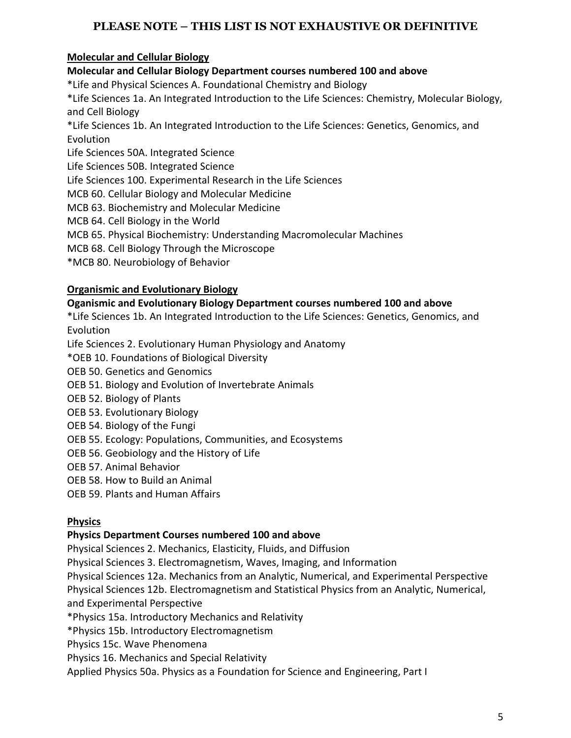# **Molecular and Cellular Biology**

**Molecular and Cellular Biology Department courses numbered 100 and above**

\*Life and Physical Sciences A. Foundational Chemistry and Biology

\*Life Sciences 1a. An Integrated Introduction to the Life Sciences: Chemistry, Molecular Biology, and Cell Biology

\*Life Sciences 1b. An Integrated Introduction to the Life Sciences: Genetics, Genomics, and Evolution

Life Sciences 50A. Integrated Science

Life Sciences 50B. Integrated Science

Life Sciences 100. Experimental Research in the Life Sciences

MCB 60. Cellular Biology and Molecular Medicine

MCB 63. Biochemistry and Molecular Medicine

MCB 64. Cell Biology in the World

MCB 65. Physical Biochemistry: Understanding Macromolecular Machines

MCB 68. Cell Biology Through the Microscope

\*MCB 80. Neurobiology of Behavior

# **Organismic and Evolutionary Biology**

# **Oganismic and Evolutionary Biology Department courses numbered 100 and above**

\*Life Sciences 1b. An Integrated Introduction to the Life Sciences: Genetics, Genomics, and Evolution

Life Sciences 2. Evolutionary Human Physiology and Anatomy

\*OEB 10. Foundations of Biological Diversity

OEB 50. Genetics and Genomics

- OEB 51. Biology and Evolution of Invertebrate Animals
- OEB 52. Biology of Plants
- OEB 53. Evolutionary Biology
- OEB 54. Biology of the Fungi
- OEB 55. Ecology: Populations, Communities, and Ecosystems
- OEB 56. Geobiology and the History of Life
- OEB 57. Animal Behavior
- OEB 58. How to Build an Animal
- OEB 59. Plants and Human Affairs

# **Physics**

### **Physics Department Courses numbered 100 and above**

Physical Sciences 2. Mechanics, Elasticity, Fluids, and Diffusion

Physical Sciences 3. Electromagnetism, Waves, Imaging, and Information

Physical Sciences 12a. Mechanics from an Analytic, Numerical, and Experimental Perspective

Physical Sciences 12b. Electromagnetism and Statistical Physics from an Analytic, Numerical, and Experimental Perspective

\*Physics 15a. Introductory Mechanics and Relativity

\*Physics 15b. Introductory Electromagnetism

Physics 15c. Wave Phenomena

Physics 16. Mechanics and Special Relativity

Applied Physics 50a. Physics as a Foundation for Science and Engineering, Part I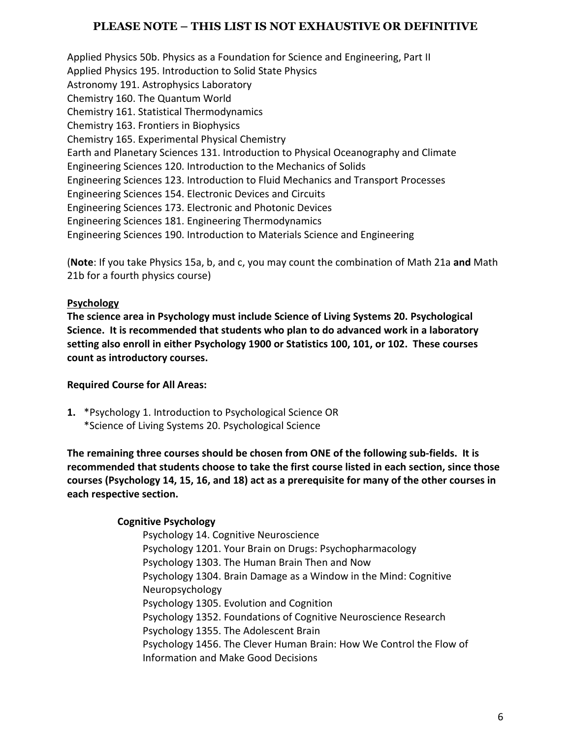Applied Physics 50b. Physics as a Foundation for Science and Engineering, Part II Applied Physics 195. Introduction to Solid State Physics Astronomy 191. Astrophysics Laboratory Chemistry 160. The Quantum World Chemistry 161. Statistical Thermodynamics Chemistry 163. Frontiers in Biophysics Chemistry 165. Experimental Physical Chemistry Earth and Planetary Sciences 131. Introduction to Physical Oceanography and Climate Engineering Sciences 120. Introduction to the Mechanics of Solids Engineering Sciences 123. Introduction to Fluid Mechanics and Transport Processes Engineering Sciences 154. Electronic Devices and Circuits Engineering Sciences 173. Electronic and Photonic Devices Engineering Sciences 181. Engineering Thermodynamics Engineering Sciences 190. Introduction to Materials Science and Engineering

(**Note**: If you take Physics 15a, b, and c, you may count the combination of Math 21a **and** Math 21b for a fourth physics course)

# **Psychology**

**The science area in Psychology must include Science of Living Systems 20. Psychological Science. It is recommended that students who plan to do advanced work in a laboratory setting also enroll in either Psychology 1900 or Statistics 100, 101, or 102. These courses count as introductory courses.**

# **Required Course for All Areas:**

**1.** \*Psychology 1. Introduction to Psychological Science OR \*Science of Living Systems 20. Psychological Science

**The remaining three courses should be chosen from ONE of the following sub-fields. It is recommended that students choose to take the first course listed in each section, since those courses (Psychology 14, 15, 16, and 18) act as a prerequisite for many of the other courses in each respective section.**

# **Cognitive Psychology**

Psychology 14. Cognitive Neuroscience Psychology 1201. Your Brain on Drugs: Psychopharmacology Psychology 1303. The Human Brain Then and Now Psychology 1304. Brain Damage as a Window in the Mind: Cognitive Neuropsychology Psychology 1305. Evolution and Cognition Psychology 1352. Foundations of Cognitive Neuroscience Research Psychology 1355. The Adolescent Brain Psychology 1456. The Clever Human Brain: How We Control the Flow of Information and Make Good Decisions